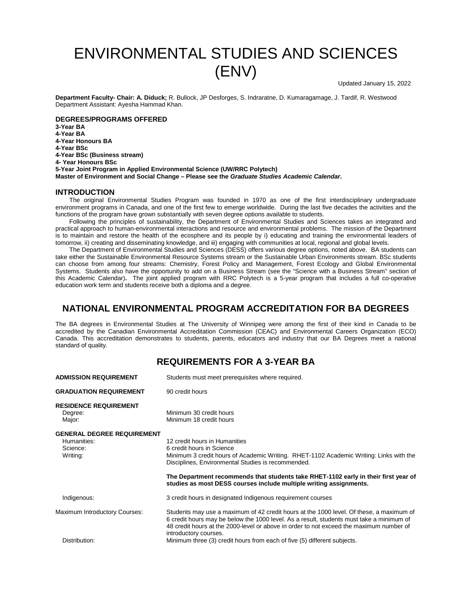# ENVIRONMENTAL STUDIES AND SCIENCES  $(\mathsf{ENV})$  Updated January 15, 2022

**Department Faculty- Chair: A. Diduck;** R. Bullock, JP Desforges, S. Indraratne, D. Kumaragamage, J. Tardif, R. Westwood Department Assistant: Ayesha Hammad Khan.

**DEGREES/PROGRAMS OFFERED**

**3-Year BA 4-Year BA 4-Year Honours BA 4-Year BSc 4-Year BSc (Business stream) 4- Year Honours BSc 5-Year Joint Program in Applied Environmental Science (UW/RRC Polytech) Master of Environment and Social Change – Please see the** *Graduate Studies Academic Calendar***.**

### **INTRODUCTION**

The original Environmental Studies Program was founded in 1970 as one of the first interdisciplinary undergraduate environment programs in Canada, and one of the first few to emerge worldwide. During the last five decades the activities and the functions of the program have grown substantially with seven degree options available to students.

Following the principles of sustainability, the Department of Environmental Studies and Sciences takes an integrated and practical approach to human-environmental interactions and resource and environmental problems. The mission of the Department is to maintain and restore the health of the ecosphere and its people by i) educating and training the environmental leaders of tomorrow, ii) creating and disseminating knowledge, and iii) engaging with communities at local, regional and global levels.

The Department of Environmental Studies and Sciences (DESS) offers various degree options, noted above. BA students can take either the Sustainable Environmental Resource Systems stream or the Sustainable Urban Environments stream. BSc students can choose from among four streams: Chemistry, Forest Policy and Management, Forest Ecology and Global Environmental Systems. Students also have the opportunity to add on a Business Stream (see the "Science with a Business Stream" section of this Academic Calendar)**.** The joint applied program with RRC Polytech is a 5-year program that includes a full co-operative education work term and students receive both a diploma and a degree.

## **NATIONAL ENVIRONMENTAL PROGRAM ACCREDITATION FOR BA DEGREES**

The BA degrees in Environmental Studies at The University of Winnipeg were among the first of their kind in Canada to be accredited by the Canadian Environmental Accreditation Commission (CEAC) and Environmental Careers Organization (ECO) Canada. This accreditation demonstrates to students, parents, educators and industry that our BA Degrees meet a national standard of quality.

## **REQUIREMENTS FOR A 3-YEAR BA**

| <b>ADMISSION REQUIREMENT</b>                                             | Students must meet prerequisites where required.                                                                                                                                                                                                                                                        |  |
|--------------------------------------------------------------------------|---------------------------------------------------------------------------------------------------------------------------------------------------------------------------------------------------------------------------------------------------------------------------------------------------------|--|
| <b>GRADUATION REQUIREMENT</b>                                            | 90 credit hours                                                                                                                                                                                                                                                                                         |  |
| <b>RESIDENCE REQUIREMENT</b><br>Degree:<br>Major:                        | Minimum 30 credit hours<br>Minimum 18 credit hours                                                                                                                                                                                                                                                      |  |
| <b>GENERAL DEGREE REQUIREMENT</b><br>Humanities:<br>Science:<br>Writing: | 12 credit hours in Humanities<br>6 credit hours in Science<br>Minimum 3 credit hours of Academic Writing. RHET-1102 Academic Writing: Links with the<br>Disciplines, Environmental Studies is recommended.                                                                                              |  |
|                                                                          | The Department recommends that students take RHET-1102 early in their first year of<br>studies as most DESS courses include multiple writing assignments.                                                                                                                                               |  |
| Indigenous:                                                              | 3 credit hours in designated Indigenous requirement courses                                                                                                                                                                                                                                             |  |
| Maximum Introductory Courses:                                            | Students may use a maximum of 42 credit hours at the 1000 level. Of these, a maximum of<br>6 credit hours may be below the 1000 level. As a result, students must take a minimum of<br>48 credit hours at the 2000-level or above in order to not exceed the maximum number of<br>introductory courses. |  |
| Distribution:                                                            | Minimum three (3) credit hours from each of five (5) different subjects.                                                                                                                                                                                                                                |  |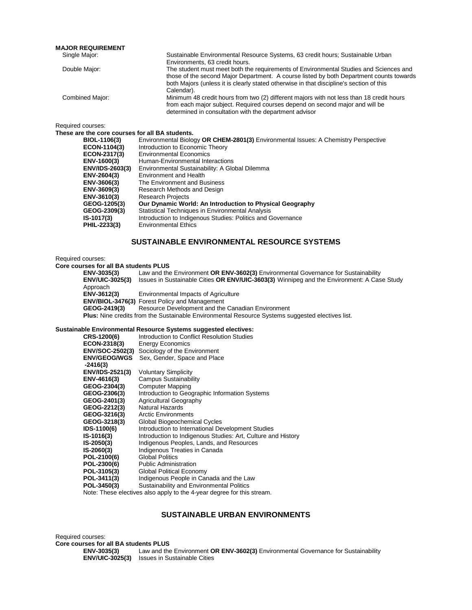#### **MAJOR REQUIREMENT**

| Sustainable Environmental Resource Systems, 63 credit hours; Sustainable Urban           |
|------------------------------------------------------------------------------------------|
| Environments, 63 credit hours.                                                           |
| The student must meet both the requirements of Environmental Studies and Sciences and    |
| those of the second Major Department. A course listed by both Department counts towards  |
| both Majors (unless it is clearly stated otherwise in that discipline's section of this  |
| Calendar).                                                                               |
| Minimum 48 credit hours from two (2) different majors with not less than 18 credit hours |
| from each major subject. Required courses depend on second major and will be             |
| determined in consultation with the department advisor                                   |
|                                                                                          |

Required courses:

**These are the core courses for all BA students.**

| BIOL-1106(3)           | Environmental Biology OR CHEM-2801(3) Environmental Issues: A Chemistry Perspective |
|------------------------|-------------------------------------------------------------------------------------|
| ECON-1104(3)           | Introduction to Economic Theory                                                     |
| ECON-2317(3)           | <b>Environmental Economics</b>                                                      |
| ENV-1600(3)            | Human-Environmental Interactions                                                    |
| <b>ENV/IDS-2603(3)</b> | Environmental Sustainability: A Global Dilemma                                      |
| ENV-2604(3)            | Environment and Health                                                              |
| ENV-3606(3)            | The Environment and Business                                                        |
| ENV-3609(3)            | Research Methods and Design                                                         |
| ENV-3610(3)            | <b>Research Projects</b>                                                            |
| GEOG-1205(3)           | Our Dynamic World: An Introduction to Physical Geography                            |
| GEOG-2309(3)           | Statistical Techniques in Environmental Analysis                                    |
| IS-1017(3)             | Introduction to Indigenous Studies: Politics and Governance                         |
| PHIL-2233(3)           | <b>Environmental Ethics</b>                                                         |
|                        |                                                                                     |

## **SUSTAINABLE ENVIRONMENTAL RESOURCE SYSTEMS**

Required courses:

#### **Core courses for all BA students PLUS**

| ENV-3035(3)            | Law and the Environment OR ENV-3602(3) Environmental Governance for Sustainability                      |
|------------------------|---------------------------------------------------------------------------------------------------------|
| <b>ENV/UIC-3025(3)</b> | Issues in Sustainable Cities OR ENV/UIC-3603(3) Winnipeg and the Environment: A Case Study              |
| Approach               |                                                                                                         |
| ENV-3612(3)            | Environmental Impacts of Agriculture                                                                    |
|                        | <b>ENV/BIOL-3476(3)</b> Forest Policy and Management                                                    |
| GEOG-2419(3)           | Resource Development and the Canadian Environment                                                       |
|                        | <b>Plus:</b> Nine credits from the Sustainable Environmental Resource Systems suggested electives list. |

#### **Sustainable Environmental Resource Systems suggested electives:**

| CRS-1200(6)            | Introduction to Conflict Resolution Studies                  |
|------------------------|--------------------------------------------------------------|
| <b>ECON-2318(3)</b>    | <b>Energy Economics</b>                                      |
|                        | <b>ENV/SOC-2502(3)</b> Sociology of the Environment          |
| <b>ENV/GEOG/WGS</b>    | Sex, Gender, Space and Place                                 |
| $-2416(3)$             |                                                              |
| <b>ENV/IDS-2521(3)</b> | <b>Voluntary Simplicity</b>                                  |
| ENV-4616(3)            | <b>Campus Sustainability</b>                                 |
| GEOG-2304(3)           | Computer Mapping                                             |
| GEOG-2306(3)           | Introduction to Geographic Information Systems               |
| GEOG-2401(3)           | <b>Agricultural Geography</b>                                |
| GEOG-2212(3)           | <b>Natural Hazards</b>                                       |
| GEOG-3216(3)           | <b>Arctic Environments</b>                                   |
| GEOG-3218(3)           | Global Biogeochemical Cycles                                 |
| IDS-1100(6)            | Introduction to International Development Studies            |
| IS-1016(3)             | Introduction to Indigenous Studies: Art, Culture and History |
| IS-2050(3)             | Indigenous Peoples, Lands, and Resources                     |
| IS-2060(3)             | Indigenous Treaties in Canada                                |
| POL-2100(6)            | <b>Global Politics</b>                                       |
| POL-2300(6)            | <b>Public Administration</b>                                 |
| POL-3105(3)            | <b>Global Political Economy</b>                              |
| POL-3411(3)            | Indigenous People in Canada and the Law                      |
| POL-3450(3)            | Sustainability and Environmental Politics                    |

Note: These electives also apply to the 4-year degree for this stream.

#### **SUSTAINABLE URBAN ENVIRONMENTS**

Required courses: **Core courses for all BA students PLUS ENV-3035(3)** Law and the Environment **OR ENV-3602(3)** Environmental Governance for Sustainability **ENV/UIC-3025(3)** Issues in Sustainable Cities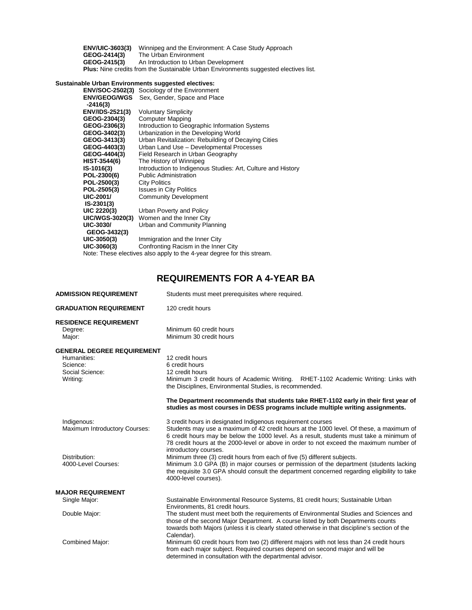**ENV/UIC-3603(3)** Winnipeg and the Environment: A Case Study Approach **GEOG-2414(3)** The Urban Environment **GEOG-2415(3)** An Introduction to Urban Development **Plus:** Nine credits from the Sustainable Urban Environments suggested electives list.

#### **Sustainable Urban Environments suggested electives:**

| <b>ENV/SOC-2502(3)</b> | Sociology of the Environment                                           |
|------------------------|------------------------------------------------------------------------|
| <b>ENV/GEOG/WGS</b>    | Sex, Gender, Space and Place                                           |
| $-2416(3)$             |                                                                        |
| ENV/IDS-2521(3)        | <b>Voluntary Simplicity</b>                                            |
| GEOG-2304(3)           | <b>Computer Mapping</b>                                                |
| GEOG-2306(3)           | Introduction to Geographic Information Systems                         |
| GEOG-3402(3)           | Urbanization in the Developing World                                   |
| GEOG-3413(3)           | Urban Revitalization: Rebuilding of Decaying Cities                    |
| GEOG-4403(3)           | Urban Land Use - Developmental Processes                               |
| GEOG-4404(3)           | Field Research in Urban Geography                                      |
| HIST-3544(6)           | The History of Winnipeg                                                |
| IS-1016(3)             | Introduction to Indigenous Studies: Art, Culture and History           |
| POL-2300(6)            | <b>Public Administration</b>                                           |
| POL-2500(3)            | <b>City Politics</b>                                                   |
| POL-2505(3)            | <b>Issues in City Politics</b>                                         |
| UIC-2001/              | <b>Community Development</b>                                           |
| $IS-2301(3)$           |                                                                        |
| UIC 2220(3)            | Urban Poverty and Policy                                               |
| <b>UIC/WGS-3020(3)</b> | Women and the Inner City                                               |
| UIC-3030/              | Urban and Community Planning                                           |
| GEOG-3432(3)           |                                                                        |
| UIC-3050(3)            | Immigration and the Inner City                                         |
| UIC-3060(3)            | Confronting Racism in the Inner City                                   |
|                        | Note: These electives also apply to the 4-year degree for this stream. |

# **REQUIREMENTS FOR A 4-YEAR BA**

| <b>ADMISSION REQUIREMENT</b>                                                                | Students must meet prerequisites where required.                                                                                                                                                                                                                                                                                                                       |  |
|---------------------------------------------------------------------------------------------|------------------------------------------------------------------------------------------------------------------------------------------------------------------------------------------------------------------------------------------------------------------------------------------------------------------------------------------------------------------------|--|
| <b>GRADUATION REQUIREMENT</b>                                                               | 120 credit hours                                                                                                                                                                                                                                                                                                                                                       |  |
| <b>RESIDENCE REQUIREMENT</b><br>Degree:<br>Major:                                           | Minimum 60 credit hours<br>Minimum 30 credit hours                                                                                                                                                                                                                                                                                                                     |  |
| <b>GENERAL DEGREE REQUIREMENT</b><br>Humanities:<br>Science:<br>Social Science:<br>Writing: | 12 credit hours<br>6 credit hours<br>12 credit hours<br>Minimum 3 credit hours of Academic Writing. RHET-1102 Academic Writing: Links with<br>the Disciplines, Environmental Studies, is recommended.                                                                                                                                                                  |  |
|                                                                                             | The Department recommends that students take RHET-1102 early in their first year of<br>studies as most courses in DESS programs include multiple writing assignments.                                                                                                                                                                                                  |  |
| Indigenous:<br>Maximum Introductory Courses:                                                | 3 credit hours in designated Indigenous requirement courses<br>Students may use a maximum of 42 credit hours at the 1000 level. Of these, a maximum of<br>6 credit hours may be below the 1000 level. As a result, students must take a minimum of<br>78 credit hours at the 2000-level or above in order to not exceed the maximum number of<br>introductory courses. |  |
| Distribution:<br>4000-Level Courses:                                                        | Minimum three (3) credit hours from each of five (5) different subjects.<br>Minimum 3.0 GPA (B) in major courses or permission of the department (students lacking<br>the requisite 3.0 GPA should consult the department concerned regarding eligibility to take<br>4000-level courses).                                                                              |  |
| <b>MAJOR REQUIREMENT</b>                                                                    |                                                                                                                                                                                                                                                                                                                                                                        |  |
| Single Major:                                                                               | Sustainable Environmental Resource Systems, 81 credit hours; Sustainable Urban<br>Environments, 81 credit hours.                                                                                                                                                                                                                                                       |  |
| Double Major:                                                                               | The student must meet both the requirements of Environmental Studies and Sciences and<br>those of the second Major Department. A course listed by both Departments counts<br>towards both Majors (unless it is clearly stated otherwise in that discipline's section of the<br>Calendar).                                                                              |  |
| Combined Major:                                                                             | Minimum 60 credit hours from two (2) different majors with not less than 24 credit hours<br>from each major subject. Required courses depend on second major and will be<br>determined in consultation with the departmental advisor.                                                                                                                                  |  |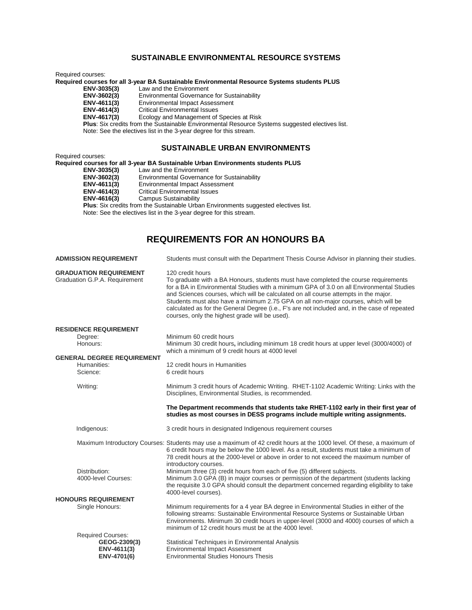## **SUSTAINABLE ENVIRONMENTAL RESOURCE SYSTEMS**

Required courses:

**Required courses for all 3-year BA Sustainable Environmental Resource Systems students PLUS**

ENV-3035(3) Law and the Environment<br> **ENV-3602(3)** Environmental Governanc

ENV-3602(3) Environmental Governance for Sustainability<br>**ENV-4611(3)** Environmental Impact Assessment

ENV-4611(3) Environmental Impact Assessment<br>ENV-4614(3) Critical Environmental Issues

**ENV-4614(3)** Critical Environmental Issues

Ecology and Management of Species at Risk

 **Plus**: Six credits from the Sustainable Environmental Resource Systems suggested electives list.

Note: See the electives list in the 3-year degree for this stream.

#### **SUSTAINABLE URBAN ENVIRONMENTS**

Required courses: **Required courses for all 3-year BA Sustainable Urban Environments students PLUS ENV-3035(3)** Law and the Environment<br> **ENV-3602(3)** Environmental Governance ENV-3602(3) Environmental Governance for Sustainability<br>**ENV-4611(3)** Environmental Impact Assessment ENV-4611(3) Environmental Impact Assessment<br>ENV-4614(3) Critical Environmental Issues **ENV-4614(3)** Critical Environmental Issues **Campus Sustainability Plus**: Six credits from the Sustainable Urban Environments suggested electives list. Note: See the electives list in the 3-year degree for this stream.

# **REQUIREMENTS FOR AN HONOURS BA**

| <b>ADMISSION REQUIREMENT</b>                                   | Students must consult with the Department Thesis Course Advisor in planning their studies.                                                                                                                                                                                                                                                                                                                                                                                                                                          |
|----------------------------------------------------------------|-------------------------------------------------------------------------------------------------------------------------------------------------------------------------------------------------------------------------------------------------------------------------------------------------------------------------------------------------------------------------------------------------------------------------------------------------------------------------------------------------------------------------------------|
| <b>GRADUATION REQUIREMENT</b><br>Graduation G.P.A. Requirement | 120 credit hours<br>To graduate with a BA Honours, students must have completed the course requirements<br>for a BA in Environmental Studies with a minimum GPA of 3.0 on all Environmental Studies<br>and Sciences courses, which will be calculated on all course attempts in the major.<br>Students must also have a minimum 2.75 GPA on all non-major courses, which will be<br>calculated as for the General Degree (i.e., F's are not included and, in the case of repeated<br>courses, only the highest grade will be used). |
| <b>RESIDENCE REQUIREMENT</b>                                   |                                                                                                                                                                                                                                                                                                                                                                                                                                                                                                                                     |
| Degree:<br>Honours:                                            | Minimum 60 credit hours<br>Minimum 30 credit hours, including minimum 18 credit hours at upper level (3000/4000) of<br>which a minimum of 9 credit hours at 4000 level                                                                                                                                                                                                                                                                                                                                                              |
| <b>GENERAL DEGREE REQUIREMENT</b>                              |                                                                                                                                                                                                                                                                                                                                                                                                                                                                                                                                     |
| Humanities:<br>Science:                                        | 12 credit hours in Humanities<br>6 credit hours                                                                                                                                                                                                                                                                                                                                                                                                                                                                                     |
| Writing:                                                       | Minimum 3 credit hours of Academic Writing. RHET-1102 Academic Writing: Links with the<br>Disciplines, Environmental Studies, is recommended.                                                                                                                                                                                                                                                                                                                                                                                       |
|                                                                | The Department recommends that students take RHET-1102 early in their first year of<br>studies as most courses in DESS programs include multiple writing assignments.                                                                                                                                                                                                                                                                                                                                                               |
| Indigenous:                                                    | 3 credit hours in designated Indigenous requirement courses                                                                                                                                                                                                                                                                                                                                                                                                                                                                         |
|                                                                | Maximum Introductory Courses: Students may use a maximum of 42 credit hours at the 1000 level. Of these, a maximum of<br>6 credit hours may be below the 1000 level. As a result, students must take a minimum of<br>78 credit hours at the 2000-level or above in order to not exceed the maximum number of<br>introductory courses.                                                                                                                                                                                               |
| Distribution:                                                  | Minimum three (3) credit hours from each of five (5) different subjects.                                                                                                                                                                                                                                                                                                                                                                                                                                                            |
| 4000-level Courses:                                            | Minimum 3.0 GPA (B) in major courses or permission of the department (students lacking<br>the requisite 3.0 GPA should consult the department concerned regarding eligibility to take<br>4000-level courses).                                                                                                                                                                                                                                                                                                                       |
| <b>HONOURS REQUIREMENT</b>                                     |                                                                                                                                                                                                                                                                                                                                                                                                                                                                                                                                     |
| Single Honours:                                                | Minimum requirements for a 4 year BA degree in Environmental Studies in either of the<br>following streams: Sustainable Environmental Resource Systems or Sustainable Urban<br>Environments. Minimum 30 credit hours in upper-level (3000 and 4000) courses of which a<br>minimum of 12 credit hours must be at the 4000 level.                                                                                                                                                                                                     |
| <b>Required Courses:</b>                                       |                                                                                                                                                                                                                                                                                                                                                                                                                                                                                                                                     |
| GEOG-2309(3)<br>ENV-4611(3)<br>ENV-4701(6)                     | Statistical Techniques in Environmental Analysis<br><b>Environmental Impact Assessment</b><br><b>Environmental Studies Honours Thesis</b>                                                                                                                                                                                                                                                                                                                                                                                           |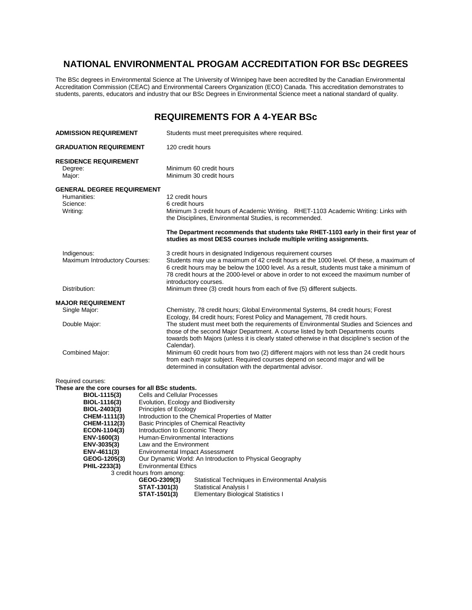# **NATIONAL ENVIRONMENTAL PROGAM ACCREDITATION FOR BSc DEGREES**

The BSc degrees in Environmental Science at The University of Winnipeg have been accredited by the Canadian Environmental Accreditation Commission (CEAC) and Environmental Careers Organization (ECO) Canada. This accreditation demonstrates to students, parents, educators and industry that our BSc Degrees in Environmental Science meet a national standard of quality.

## **REQUIREMENTS FOR A 4-YEAR BSc**

| <b>ADMISSION REQUIREMENT</b>                                                                                                                                                                                                                       |                                                                                                                                                                                                                                                                                                                                                                                                                | Students must meet prerequisites where required.                                                                                                                                                                                                                                                                                              |
|----------------------------------------------------------------------------------------------------------------------------------------------------------------------------------------------------------------------------------------------------|----------------------------------------------------------------------------------------------------------------------------------------------------------------------------------------------------------------------------------------------------------------------------------------------------------------------------------------------------------------------------------------------------------------|-----------------------------------------------------------------------------------------------------------------------------------------------------------------------------------------------------------------------------------------------------------------------------------------------------------------------------------------------|
| <b>GRADUATION REQUIREMENT</b>                                                                                                                                                                                                                      | 120 credit hours                                                                                                                                                                                                                                                                                                                                                                                               |                                                                                                                                                                                                                                                                                                                                               |
| <b>RESIDENCE REQUIREMENT</b><br>Degree:<br>Major:                                                                                                                                                                                                  |                                                                                                                                                                                                                                                                                                                                                                                                                | Minimum 60 credit hours<br>Minimum 30 credit hours                                                                                                                                                                                                                                                                                            |
| <b>GENERAL DEGREE REQUIREMENT</b><br>Humanities:<br>Science:<br>Writing:                                                                                                                                                                           | 12 credit hours<br>6 credit hours                                                                                                                                                                                                                                                                                                                                                                              | Minimum 3 credit hours of Academic Writing. RHET-1103 Academic Writing: Links with<br>the Disciplines, Environmental Studies, is recommended.<br>The Department recommends that students take RHET-1103 early in their first year of                                                                                                          |
|                                                                                                                                                                                                                                                    |                                                                                                                                                                                                                                                                                                                                                                                                                | studies as most DESS courses include multiple writing assignments.                                                                                                                                                                                                                                                                            |
| Indigenous:<br>Maximum Introductory Courses:                                                                                                                                                                                                       | introductory courses.                                                                                                                                                                                                                                                                                                                                                                                          | 3 credit hours in designated Indigenous requirement courses<br>Students may use a maximum of 42 credit hours at the 1000 level. Of these, a maximum of<br>6 credit hours may be below the 1000 level. As a result, students must take a minimum of<br>78 credit hours at the 2000-level or above in order to not exceed the maximum number of |
| Distribution:                                                                                                                                                                                                                                      |                                                                                                                                                                                                                                                                                                                                                                                                                | Minimum three (3) credit hours from each of five (5) different subjects.                                                                                                                                                                                                                                                                      |
| <b>MAJOR REQUIREMENT</b>                                                                                                                                                                                                                           |                                                                                                                                                                                                                                                                                                                                                                                                                |                                                                                                                                                                                                                                                                                                                                               |
| Single Major:                                                                                                                                                                                                                                      |                                                                                                                                                                                                                                                                                                                                                                                                                | Chemistry, 78 credit hours; Global Environmental Systems, 84 credit hours; Forest<br>Ecology, 84 credit hours; Forest Policy and Management, 78 credit hours.                                                                                                                                                                                 |
| Double Major:                                                                                                                                                                                                                                      | Calendar).                                                                                                                                                                                                                                                                                                                                                                                                     | The student must meet both the requirements of Environmental Studies and Sciences and<br>those of the second Major Department. A course listed by both Departments counts<br>towards both Majors (unless it is clearly stated otherwise in that discipline's section of the                                                                   |
| Combined Major:                                                                                                                                                                                                                                    |                                                                                                                                                                                                                                                                                                                                                                                                                | Minimum 60 credit hours from two (2) different majors with not less than 24 credit hours<br>from each major subject. Required courses depend on second major and will be<br>determined in consultation with the departmental advisor.                                                                                                         |
| Required courses:<br>These are the core courses for all BSc students.<br>BIOL-1115(3)<br>BIOL-1116(3)<br>BIOL-2403(3)<br>CHEM-1111(3)<br>CHEM-1112(3)<br>ECON-1104(3)<br>ENV-1600(3)<br>ENV-3035(3)<br>ENV-4611(3)<br>GEOG-1205(3)<br>PHIL-2233(3) | <b>Cells and Cellular Processes</b><br>Evolution, Ecology and Biodiversity<br>Principles of Ecology<br><b>Basic Principles of Chemical Reactivity</b><br>Introduction to Economic Theory<br>Human-Environmental Interactions<br>Law and the Environment<br><b>Environmental Impact Assessment</b><br><b>Environmental Ethics</b><br>3 credit hours from among:<br>GEOG-2309(3)<br>STAT-1301(3)<br>STAT-1501(3) | Introduction to the Chemical Properties of Matter<br>Our Dynamic World: An Introduction to Physical Geography<br>Statistical Techniques in Environmental Analysis<br>Statistical Analysis I<br><b>Elementary Biological Statistics I</b>                                                                                                      |

**Elementary Biological Statistics I**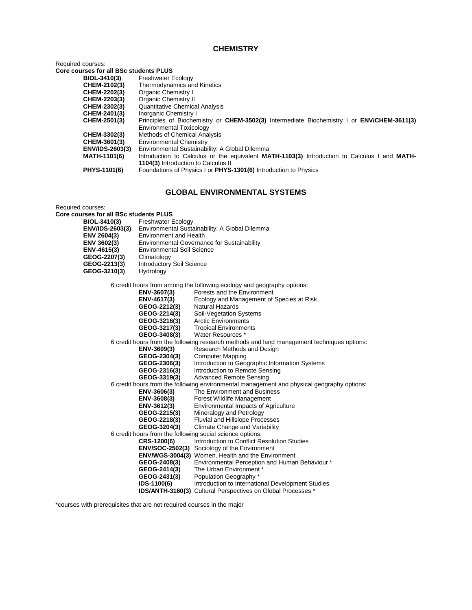## **CHEMISTRY**

Required courses:

**Core courses for all BSc students PLUS**

| BIOL-3410(3)           | <b>Freshwater Ecology</b>                                                                    |
|------------------------|----------------------------------------------------------------------------------------------|
| CHEM-2102(3)           | Thermodynamics and Kinetics                                                                  |
| CHEM-2202(3)           | Organic Chemistry I                                                                          |
| CHEM-2203(3)           | Organic Chemistry II                                                                         |
| CHEM-2302(3)           | <b>Quantitative Chemical Analysis</b>                                                        |
| CHEM-2401(3)           | Inorganic Chemistry I                                                                        |
| CHEM-2501(3)           | Principles of Biochemistry or CHEM-3502(3) Intermediate Biochemistry I or ENV/CHEM-3611(3)   |
|                        | <b>Environmental Toxicology</b>                                                              |
| CHEM-3302(3)           | Methods of Chemical Analysis                                                                 |
| CHEM-3601(3)           | <b>Environmental Chemistry</b>                                                               |
| <b>ENV/IDS-2603(3)</b> | Environmental Sustainability: A Global Dilemma                                               |
| <b>MATH-1101(6)</b>    | Introduction to Calculus or the equivalent MATH-1103(3) Introduction to Calculus I and MATH- |
|                        | <b>1104(3)</b> Introduction to Calculus II                                                   |
| PHYS-1101(6)           | Foundations of Physics I or PHYS-1301(6) Introduction to Physics                             |

## **GLOBAL ENVIRONMENTAL SYSTEMS**

Required courses:

**Core courses for all BSc students PLUS**

| BIOL-3410(3)<br><b>ENV/IDS-2603(3)</b> | <b>Freshwater Ecology</b><br>Environmental Sustainability: A Global Dilemma |
|----------------------------------------|-----------------------------------------------------------------------------|
| ENV 2604(3)                            | <b>Environment and Health</b>                                               |
| ENV 3602(3)                            | <b>Environmental Governance for Sustainability</b>                          |
| ENV-4615(3)                            | <b>Environmental Soil Science</b>                                           |
| GEOG-2207(3)                           | Climatology                                                                 |
| GEOG-2213(3)                           | <b>Introductory Soil Science</b>                                            |
| GEOG-3210(3)                           | Hydrology                                                                   |

6 credit hours from among the following ecology and geography options:

| ENV-3607(3)                                               | Forests and the Environment                                                                |
|-----------------------------------------------------------|--------------------------------------------------------------------------------------------|
| ENV-4617(3)                                               | Ecology and Management of Species at Risk                                                  |
| GEOG-2212(3)                                              | Natural Hazards                                                                            |
| GEOG-2214(3)                                              | Soil-Vegetation Systems                                                                    |
| GEOG-3216(3)                                              | <b>Arctic Environments</b>                                                                 |
| GEOG-3217(3)                                              | <b>Tropical Environments</b>                                                               |
| GEOG-3408(3)                                              | Water Resources *                                                                          |
|                                                           | 6 credit hours from the following research methods and land management techniques options: |
| ENV-3609(3)                                               | Research Methods and Design                                                                |
| GEOG-2304(3)                                              | <b>Computer Mapping</b>                                                                    |
| GEOG-2306(3)                                              | Introduction to Geographic Information Systems                                             |
| GEOG-2316(3)                                              | Introduction to Remote Sensing                                                             |
| GEOG-3319(3)                                              | <b>Advanced Remote Sensing</b>                                                             |
|                                                           | 6 credit hours from the following environmental management and physical geography options: |
| ENV-3606(3)                                               | The Environment and Business                                                               |
| ENV-3608(3)                                               | Forest Wildlife Management                                                                 |
| ENV-3612(3)                                               | Environmental Impacts of Agriculture                                                       |
| GEOG-2215(3)                                              | Mineralogy and Petrology                                                                   |
| GEOG-2218(3)                                              | Fluvial and Hillslope Processes                                                            |
| GEOG-3204(3)                                              | Climate Change and Variability                                                             |
| 6 credit hours from the following social science options: |                                                                                            |
| CRS-1200(6)                                               | Introduction to Conflict Resolution Studies                                                |
| <b>ENV/SOC-2502(3)</b>                                    | Sociology of the Environment                                                               |
|                                                           | <b>ENV/WGS-3004(3)</b> Women, Health and the Environment                                   |
| GEOG-2408(3)                                              | Environmental Perception and Human Behaviour *                                             |
| GEOG-2414(3)                                              | The Urban Environment *                                                                    |
| GEOG-2431(3)                                              | Population Geography *                                                                     |
| IDS-1100(6)                                               | Introduction to International Development Studies                                          |
| <b>IDS/ANTH-3160(3)</b>                                   | Cultural Perspectives on Global Processes *                                                |

\*courses with prerequisites that are not required courses in the major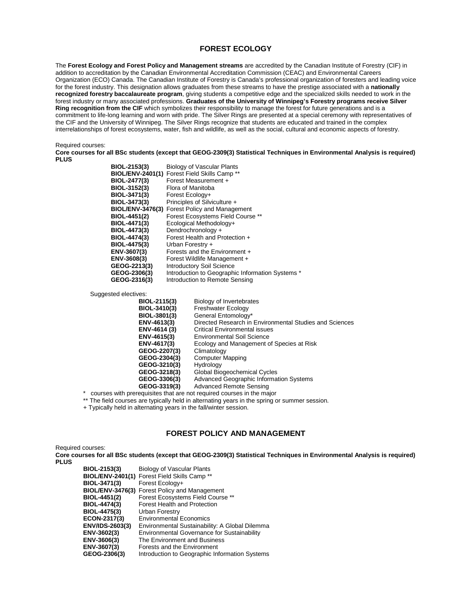#### **FOREST ECOLOGY**

The **Forest Ecology and Forest Policy and Management streams** are accredited by the Canadian Institute of Forestry (CIF) in addition to accreditation by the Canadian Environmental Accreditation Commission (CEAC) and Environmental Careers Organization (ECO) Canada. The Canadian Institute of Forestry is Canada's professional organization of foresters and leading voice for the forest industry. This designation allows graduates from these streams to have the prestige associated with a **nationally recognized forestry baccalaureate program**, giving students a competitive edge and the specialized skills needed to work in the forest industry or many associated professions. **Graduates of the University of Winnipeg's Forestry programs receive Silver Ring recognition from the CIF** which symbolizes their responsibility to manage the forest for future generations and is a commitment to life-long learning and worn with pride. The Silver Rings are presented at a special ceremony with representatives of the CIF and the University of Winnipeg. The Silver Rings recognize that students are educated and trained in the complex interrelationships of forest ecosystems, water, fish and wildlife, as well as the social, cultural and economic aspects of forestry.

Required courses:

**Core courses for all BSc students (except that GEOG-2309(3) Statistical Techniques in Environmental Analysis is required) PLUS**

| BIOL-2153(3) | <b>Biology of Vascular Plants</b>                    |
|--------------|------------------------------------------------------|
|              | <b>BIOL/ENV-2401(1)</b> Forest Field Skills Camp **  |
| BIOL-2477(3) | Forest Measurement +                                 |
| BIOL-3152(3) | Flora of Manitoba                                    |
| BIOL-3471(3) | Forest Ecology+                                      |
| BIOL-3473(3) | Principles of Silviculture +                         |
|              | <b>BIOL/ENV-3476(3)</b> Forest Policy and Management |
| BIOL-4451(2) | Forest Ecosystems Field Course **                    |
| BIOL-4471(3) | Ecological Methodology+                              |
| BIOL-4473(3) | Dendrochronology +                                   |
| BIOL-4474(3) | Forest Health and Protection +                       |
| BIOL-4475(3) | Urban Forestry +                                     |
| ENV-3607(3)  | Forests and the Environment +                        |
| ENV-3608(3)  | Forest Wildlife Management +                         |
| GEOG-2213(3) | <b>Introductory Soil Science</b>                     |
| GEOG-2306(3) | Introduction to Geographic Information Systems *     |
| GEOG-2316(3) | Introduction to Remote Sensing                       |

Suggested electives:

| Biology of Invertebrates                                |
|---------------------------------------------------------|
| <b>Freshwater Ecology</b>                               |
| General Entomology*                                     |
| Directed Research in Environmental Studies and Sciences |
| <b>Critical Environmental issues</b>                    |
| Environmental Soil Science                              |
| Ecology and Management of Species at Risk               |
| Climatology                                             |
| <b>Computer Mapping</b>                                 |
| Hydrology                                               |
| Global Biogeochemical Cycles                            |
| <b>Advanced Geographic Information Systems</b>          |
| <b>Advanced Remote Sensing</b>                          |
|                                                         |

\* courses with prerequisites that are not required courses in the major

\*\* The field courses are typically held in alternating years in the spring or summer session.

+ Typically held in alternating years in the fall/winter session.

#### **FOREST POLICY AND MANAGEMENT**

Required courses:

**Core courses for all BSc students (except that GEOG-2309(3) Statistical Techniques in Environmental Analysis is required) PLUS**

| BIOL-2153(3)           | <b>Biology of Vascular Plants</b>                    |
|------------------------|------------------------------------------------------|
|                        | BIOL/ENV-2401(1) Forest Field Skills Camp **         |
| BIOL-3471(3)           | Forest Ecology+                                      |
|                        | <b>BIOL/ENV-3476(3)</b> Forest Policy and Management |
| BIOL-4451(2)           | Forest Ecosystems Field Course **                    |
| BIOL-4474(3)           | <b>Forest Health and Protection</b>                  |
| BIOL-4475(3)           | Urban Forestry                                       |
| ECON-2317(3)           | <b>Environmental Economics</b>                       |
| <b>ENV/IDS-2603(3)</b> | Environmental Sustainability: A Global Dilemma       |
| ENV-3602(3)            | <b>Environmental Governance for Sustainability</b>   |
| ENV-3606(3)            | The Environment and Business                         |
| ENV-3607(3)            | Forests and the Environment                          |
| GEOG-2306(3)           | Introduction to Geographic Information Systems       |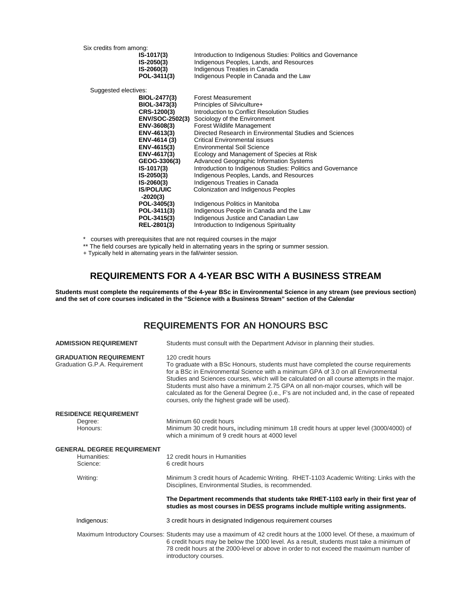Six credits from among:<br>IS-1017(

| Introduction to Indigenous Studies: Politics and Governance |
|-------------------------------------------------------------|
| Indigenous Peoples, Lands, and Resources                    |
| Indigenous Treaties in Canada                               |
| Indigenous People in Canada and the Law                     |
|                                                             |

Suggested electives:

| <b>Forest Measurement</b>                                   |
|-------------------------------------------------------------|
| Principles of Silviculture+                                 |
| Introduction to Conflict Resolution Studies                 |
| Sociology of the Environment                                |
| <b>Forest Wildlife Management</b>                           |
| Directed Research in Environmental Studies and Sciences     |
| Critical Environmental issues                               |
| <b>Environmental Soil Science</b>                           |
| Ecology and Management of Species at Risk                   |
| Advanced Geographic Information Systems                     |
| Introduction to Indigenous Studies: Politics and Governance |
| Indigenous Peoples, Lands, and Resources                    |
| Indigenous Treaties in Canada                               |
| Colonization and Indigenous Peoples                         |
|                                                             |
| Indigenous Politics in Manitoba                             |
| Indigenous People in Canada and the Law                     |
| Indigenous Justice and Canadian Law                         |
| Introduction to Indigenous Spirituality                     |
|                                                             |

\* courses with prerequisites that are not required courses in the major

- \*\* The field courses are typically held in alternating years in the spring or summer session.
- + Typically held in alternating years in the fall/winter session.

# **REQUIREMENTS FOR A 4-YEAR BSC WITH A BUSINESS STREAM**

**Students must complete the requirements of the 4-year BSc in Environmental Science in any stream (see previous section) and the set of core courses indicated in the "Science with a Business Stream" section of the Calendar**

# **REQUIREMENTS FOR AN HONOURS BSC**

| <b>ADMISSION REQUIREMENT</b>                                   | Students must consult with the Department Advisor in planning their studies.                                                                                                                                                                                                                                                                                                                                                                                                                                                          |
|----------------------------------------------------------------|---------------------------------------------------------------------------------------------------------------------------------------------------------------------------------------------------------------------------------------------------------------------------------------------------------------------------------------------------------------------------------------------------------------------------------------------------------------------------------------------------------------------------------------|
| <b>GRADUATION REQUIREMENT</b><br>Graduation G.P.A. Requirement | 120 credit hours<br>To graduate with a BSc Honours, students must have completed the course requirements<br>for a BSc in Environmental Science with a minimum GPA of 3.0 on all Environmental<br>Studies and Sciences courses, which will be calculated on all course attempts in the major.<br>Students must also have a minimum 2.75 GPA on all non-major courses, which will be<br>calculated as for the General Degree (i.e., F's are not included and, in the case of repeated<br>courses, only the highest grade will be used). |
| <b>RESIDENCE REQUIREMENT</b>                                   |                                                                                                                                                                                                                                                                                                                                                                                                                                                                                                                                       |
| Degree:<br>Honours:                                            | Minimum 60 credit hours<br>Minimum 30 credit hours, including minimum 18 credit hours at upper level (3000/4000) of<br>which a minimum of 9 credit hours at 4000 level                                                                                                                                                                                                                                                                                                                                                                |
| <b>GENERAL DEGREE REQUIREMENT</b>                              |                                                                                                                                                                                                                                                                                                                                                                                                                                                                                                                                       |
| Humanities:<br>Science:                                        | 12 credit hours in Humanities<br>6 credit hours                                                                                                                                                                                                                                                                                                                                                                                                                                                                                       |
| Writing:                                                       | Minimum 3 credit hours of Academic Writing. RHET-1103 Academic Writing: Links with the<br>Disciplines, Environmental Studies, is recommended.                                                                                                                                                                                                                                                                                                                                                                                         |
|                                                                | The Department recommends that students take RHET-1103 early in their first year of<br>studies as most courses in DESS programs include multiple writing assignments.                                                                                                                                                                                                                                                                                                                                                                 |
| Indigenous:                                                    | 3 credit hours in designated Indigenous requirement courses                                                                                                                                                                                                                                                                                                                                                                                                                                                                           |
|                                                                | Maximum Introductory Courses: Students may use a maximum of 42 credit hours at the 1000 level. Of these, a maximum of<br>6 credit hours may be below the 1000 level. As a result, students must take a minimum of<br>78 credit hours at the 2000-level or above in order to not exceed the maximum number of<br>introductory courses.                                                                                                                                                                                                 |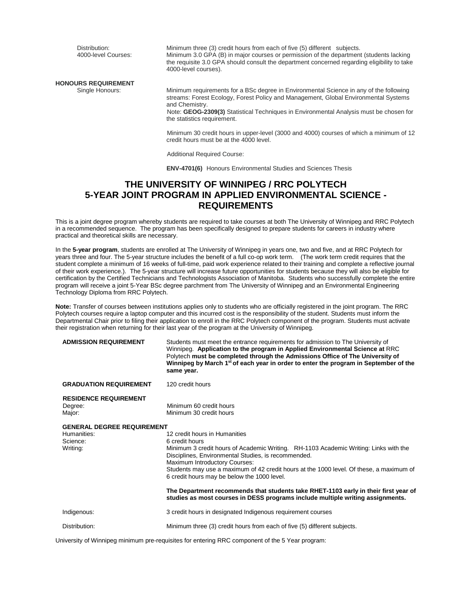Distribution: Minimum three (3) credit hours from each of five (5) different subjects.<br>4000-level Courses: Minimum 3.0 GPA (B) in major courses or permission of the departmen Minimum 3.0 GPA (B) in major courses or permission of the department (students lacking the requisite 3.0 GPA should consult the department concerned regarding eligibility to take 4000-level courses). **HONOURS REQUIREMENT** Minimum requirements for a BSc degree in Environmental Science in any of the following streams: Forest Ecology, Forest Policy and Management, Global Environmental Systems and Chemistry. Note: **GEOG-2309(3)** Statistical Techniques in Environmental Analysis must be chosen for

the statistics requirement.

 Minimum 30 credit hours in upper-level (3000 and 4000) courses of which a minimum of 12 credit hours must be at the 4000 level.

Additional Required Course:

 **ENV-4701(6)** Honours Environmental Studies and Sciences Thesis

# **THE UNIVERSITY OF WINNIPEG / RRC POLYTECH 5-YEAR JOINT PROGRAM IN APPLIED ENVIRONMENTAL SCIENCE - REQUIREMENTS**

This is a joint degree program whereby students are required to take courses at both The University of Winnipeg and RRC Polytech in a recommended sequence. The program has been specifically designed to prepare students for careers in industry where practical and theoretical skills are necessary.

In the **5-year program**, students are enrolled at The University of Winnipeg in years one, two and five, and at RRC Polytech for years three and four. The 5-year structure includes the benefit of a full co-op work term. (The work term credit requires that the student complete a minimum of 16 weeks of full-time, paid work experience related to their training and complete a reflective journal of their work experience.). The 5-year structure will increase future opportunities for students because they will also be eligible for certification by the Certified Technicians and Technologists Association of Manitoba. Students who successfully complete the entire program will receive a joint 5-Year BSc degree parchment from The University of Winnipeg and an Environmental Engineering Technology Diploma from RRC Polytech.

**Note:** Transfer of courses between institutions applies only to students who are officially registered in the joint program. The RRC Polytech courses require a laptop computer and this incurred cost is the responsibility of the student. Students must inform the Departmental Chair prior to filing their application to enroll in the RRC Polytech component of the program. Students must activate their registration when returning for their last year of the program at the University of Winnipeg.

| Students must meet the entrance requirements for admission to The University of<br>Winnipeg. Application to the program in Applied Environmental Science at RRC<br>Polytech must be completed through the Admissions Office of The University of<br>Winnipeg by March 1 <sup>st</sup> of each year in order to enter the program in September of the<br>same year.                                                                                                                                                                                                                      |
|-----------------------------------------------------------------------------------------------------------------------------------------------------------------------------------------------------------------------------------------------------------------------------------------------------------------------------------------------------------------------------------------------------------------------------------------------------------------------------------------------------------------------------------------------------------------------------------------|
| 120 credit hours                                                                                                                                                                                                                                                                                                                                                                                                                                                                                                                                                                        |
| Minimum 60 credit hours<br>Minimum 30 credit hours                                                                                                                                                                                                                                                                                                                                                                                                                                                                                                                                      |
| <b>GENERAL DEGREE REQUIREMENT</b><br>12 credit hours in Humanities<br>6 credit hours<br>Minimum 3 credit hours of Academic Writing. RH-1103 Academic Writing: Links with the<br>Disciplines, Environmental Studies, is recommended.<br>Maximum Introductory Courses:<br>Students may use a maximum of 42 credit hours at the 1000 level. Of these, a maximum of<br>6 credit hours may be below the 1000 level.<br>The Department recommends that students take RHET-1103 early in their first year of<br>studies as most courses in DESS programs include multiple writing assignments. |
| 3 credit hours in designated Indigenous requirement courses                                                                                                                                                                                                                                                                                                                                                                                                                                                                                                                             |
| Minimum three (3) credit hours from each of five (5) different subjects.                                                                                                                                                                                                                                                                                                                                                                                                                                                                                                                |
|                                                                                                                                                                                                                                                                                                                                                                                                                                                                                                                                                                                         |

University of Winnipeg minimum pre-requisites for entering RRC component of the 5 Year program: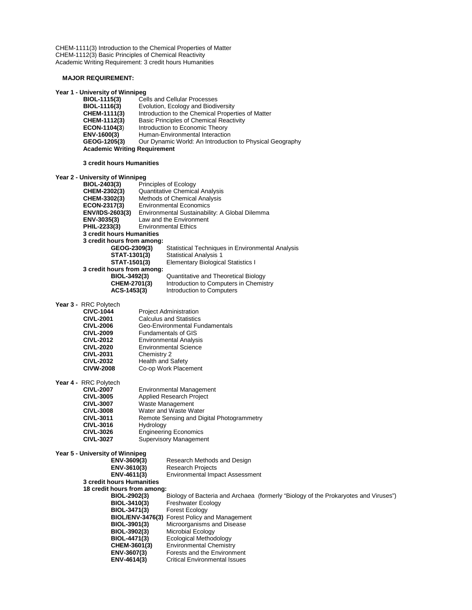CHEM-1111(3) Introduction to the Chemical Properties of Matter CHEM-1112(3) Basic Principles of Chemical Reactivity Academic Writing Requirement: 3 credit hours Humanities

#### **MAJOR REQUIREMENT:**

#### **Year 1 - University of Winnipeg**

| BIOL-1115(3)                        | <b>Cells and Cellular Processes</b>                      |  |
|-------------------------------------|----------------------------------------------------------|--|
| BIOL-1116(3)                        | Evolution, Ecology and Biodiversity                      |  |
| CHEM-1111(3)                        | Introduction to the Chemical Properties of Matter        |  |
| CHEM-1112(3)                        | <b>Basic Principles of Chemical Reactivity</b>           |  |
| ECON-1104(3)                        | Introduction to Economic Theory                          |  |
| ENV-1600(3)                         | Human-Environmental Interaction                          |  |
| GEOG-1205(3)                        | Our Dynamic World: An Introduction to Physical Geography |  |
| <b>Academic Writing Requirement</b> |                                                          |  |
|                                     |                                                          |  |

#### **3 credit hours Humanities**

# **Year 2 - University of Winnipeg**

| BIOL-2403(3)               |                                       | Principles of Ecology                            |
|----------------------------|---------------------------------------|--------------------------------------------------|
| CHEM-2302(3)               | <b>Quantitative Chemical Analysis</b> |                                                  |
| CHEM-3302(3)               |                                       | <b>Methods of Chemical Analysis</b>              |
| ECON-2317(3)               | <b>Environmental Economics</b>        |                                                  |
| <b>ENV/IDS-2603(3)</b>     |                                       | Environmental Sustainability: A Global Dilemma   |
| ENV-3035(3)                |                                       | Law and the Environment                          |
| PHIL-2233(3)               |                                       | <b>Environmental Ethics</b>                      |
| 3 credit hours Humanities  |                                       |                                                  |
| 3 credit hours from among: |                                       |                                                  |
| GEOG-2309(3)               |                                       | Statistical Techniques in Environmental Analysis |
| STAT-1301(3)               |                                       | <b>Statistical Analysis 1</b>                    |
| STAT-1501(3)               |                                       | <b>Elementary Biological Statistics I</b>        |
| 3 credit hours from among: |                                       |                                                  |
| BIOL-3492(3)               |                                       | Quantitative and Theoretical Biology             |
| CHEM-2701(3)               |                                       | Introduction to Computers in Chemistry           |
| ACS-1453(3)                |                                       | Introduction to Computers                        |
|                            |                                       |                                                  |

**Year 3 -** RRC Polytech

| $111011$ virtuoti |                                |
|-------------------|--------------------------------|
| <b>CIVC-1044</b>  | <b>Project Administration</b>  |
| <b>CIVL-2001</b>  | <b>Calculus and Statistics</b> |
| <b>CIVL-2006</b>  | Geo-Environmental Fundamentals |
| <b>CIVL-2009</b>  | <b>Fundamentals of GIS</b>     |
| <b>CIVL-2012</b>  | <b>Environmental Analysis</b>  |
| <b>CIVL-2020</b>  | <b>Environmental Science</b>   |
| <b>CIVL-2031</b>  | Chemistry 2                    |
| <b>CIVL-2032</b>  | Health and Safety              |
| <b>CIVW-2008</b>  | Co-op Work Placement           |
|                   |                                |

**Year 4 -** RRC Polytech

| <b>CIVL-2007</b> | <b>Environmental Management</b>           |
|------------------|-------------------------------------------|
| <b>CIVL-3005</b> | <b>Applied Research Project</b>           |
| <b>CIVL-3007</b> | Waste Management                          |
| <b>CIVL-3008</b> | Water and Waste Water                     |
| <b>CIVL-3011</b> | Remote Sensing and Digital Photogrammetry |
| <b>CIVL-3016</b> | Hydrology                                 |
| <b>CIVL-3026</b> | <b>Engineering Economics</b>              |
| <b>CIVL-3027</b> | <b>Supervisory Management</b>             |
|                  |                                           |

| Year 5 - University of Winnipeg<br>ENV-3609(3)<br>ENV-3610(3) | Research Methods and Design<br><b>Research Projects</b>                             |
|---------------------------------------------------------------|-------------------------------------------------------------------------------------|
| ENV-4611(3)                                                   | <b>Environmental Impact Assessment</b>                                              |
| 3 credit hours Humanities                                     |                                                                                     |
| 18 credit hours from among:                                   |                                                                                     |
| BIOL-2902(3)                                                  | Biology of Bacteria and Archaea (formerly "Biology of the Prokaryotes and Viruses") |
| BIOL-3410(3)                                                  | <b>Freshwater Ecology</b>                                                           |
| BIOL-3471(3)                                                  | <b>Forest Ecology</b>                                                               |
|                                                               | <b>BIOL/ENV-3476(3)</b> Forest Policy and Management                                |
| BIOL-3901(3)                                                  | Microorganisms and Disease                                                          |
| BIOL-3902(3)                                                  | Microbial Ecology                                                                   |
| BIOL-4471(3)                                                  | Ecological Methodology                                                              |
| CHEM-3601(3)                                                  | <b>Environmental Chemistry</b>                                                      |
| ENV-3607(3)                                                   | Forests and the Environment                                                         |
| ENV-4614(3)                                                   | Critical Environmental Issues                                                       |